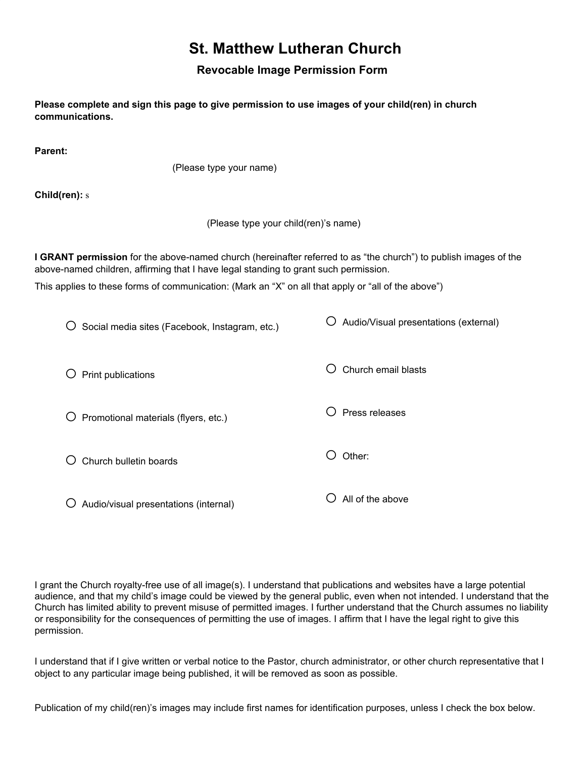## **St. Matthew Lutheran Church**

## **Revocable Image Permission Form**

**Please complete and sign this page to give permission to use images of your child(ren) in church communications. Parent:** (Please type your name) **Child(ren):** s (Please type your child(ren)'s name) **I GRANT permission** for the above-named church (hereinafter referred to as "the church") to publish images of the above-named children, affirming that I have legal standing to grant such permission. This applies to these forms of communication: (Mark an "X" on all that apply or "all of the above")  $\bigcirc$  Social media sites (Facebook, Instagram, etc.)  $\bigcirc$  Print publications  $\bigcirc$  Promotional materials (flyers, etc.)  $\bigcirc$  Church bulletin boards  $\overline{O}$  Audio/visual presentations (internal)  $\bigcirc$  Audio/Visual presentations (external)  $\bigcirc$  Church email blasts  $\bigcirc$  Press releases  $\bigcirc$  Other:  $\bigcirc$  All of the above

I grant the Church royalty-free use of all image(s). I understand that publications and websites have a large potential audience, and that my child's image could be viewed by the general public, even when not intended. I understand that the Church has limited ability to prevent misuse of permitted images. I further understand that the Church assumes no liability or responsibility for the consequences of permitting the use of images. I affirm that I have the legal right to give this permission.

I understand that if I give written or verbal notice to the Pastor, church administrator, or other church representative that I object to any particular image being published, it will be removed as soon as possible.

Publication of my child(ren)'s images may include first names for identification purposes, unless I check the box below.